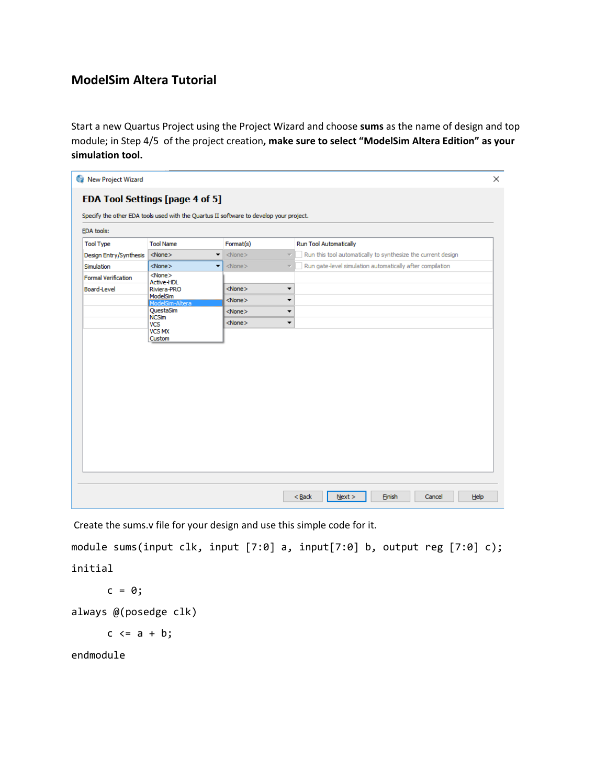## **ModelSim Altera Tutorial**

Start a new Quartus Project using the Project Wizard and choose **sums** as the name of design and top module; in Step 4/5 of the project creation**, make sure to select "ModelSim Altera Edition" as your simulation tool.**

|                            | EDA Tool Settings [page 4 of 5]                                                        |              |                                                                                          |  |
|----------------------------|----------------------------------------------------------------------------------------|--------------|------------------------------------------------------------------------------------------|--|
|                            | Specify the other EDA tools used with the Quartus II software to develop your project. |              |                                                                                          |  |
| EDA tools:                 |                                                                                        |              |                                                                                          |  |
| <b>Tool Type</b>           | <b>Tool Name</b>                                                                       | Format(s)    | <b>Run Tool Automatically</b>                                                            |  |
| Design Entry/Synthesis     | $<$ None $>$<br>$\blacktriangledown$                                                   | $<$ None $>$ | Run this tool automatically to synthesize the current design<br>$\overline{\mathcal{M}}$ |  |
| Simulation                 | $<$ None $>$<br>$\overline{\phantom{a}}$                                               | $<$ None $>$ | Run gate-level simulation automatically after compilation<br>$\overline{\mathcal{L}}$    |  |
| <b>Formal Verification</b> | $<$ None $>$                                                                           |              |                                                                                          |  |
| <b>Board-Level</b>         | <b>Active-HDL</b><br>Riviera-PRO                                                       | $<$ None $>$ | $\blacktriangledown$                                                                     |  |
|                            | ModelSim<br>ModelSim-Altera                                                            | $<$ None $>$ | ▼                                                                                        |  |
|                            | QuestaSim                                                                              | $<$ None $>$ | ▼                                                                                        |  |
|                            | <b>NCSim</b><br><b>VCS</b>                                                             | $<$ None $>$ | ▼                                                                                        |  |
|                            | <b>VCS MX</b>                                                                          |              |                                                                                          |  |
|                            | Custom                                                                                 |              |                                                                                          |  |
|                            |                                                                                        |              |                                                                                          |  |
|                            |                                                                                        |              |                                                                                          |  |
|                            |                                                                                        |              |                                                                                          |  |
|                            |                                                                                        |              |                                                                                          |  |
|                            |                                                                                        |              |                                                                                          |  |
|                            |                                                                                        |              |                                                                                          |  |
|                            |                                                                                        |              |                                                                                          |  |
|                            |                                                                                        |              |                                                                                          |  |
|                            |                                                                                        |              |                                                                                          |  |
|                            |                                                                                        |              |                                                                                          |  |
|                            |                                                                                        |              |                                                                                          |  |
|                            |                                                                                        |              |                                                                                          |  |
|                            |                                                                                        |              |                                                                                          |  |
|                            |                                                                                        |              |                                                                                          |  |

Create the sums.v file for your design and use this simple code for it.

```
module sums(input clk, input [7:0] a, input[7:0] b, output reg [7:0] c);
initial
```

```
c = 0;
```

```
always @(posedge clk)
```
 $c \leq a + b;$ 

endmodule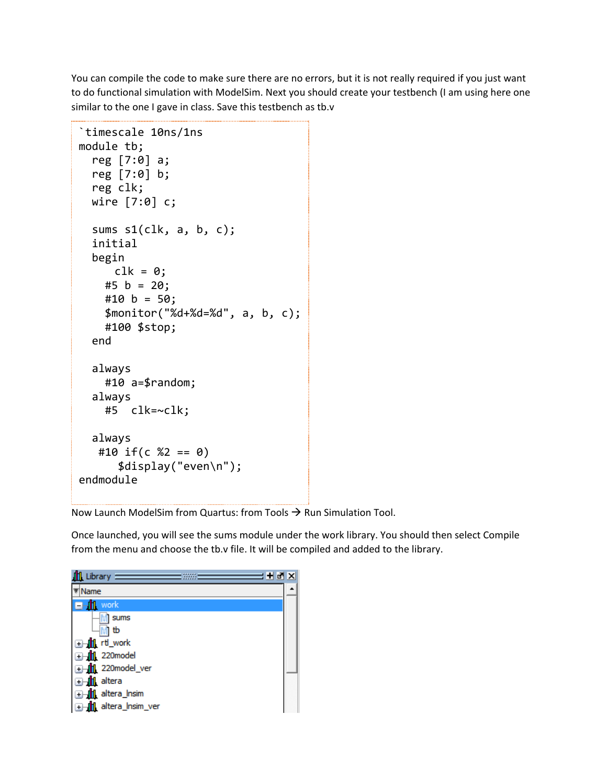You can compile the code to make sure there are no errors, but it is not really required if you just want to do functional simulation with ModelSim. Next you should create your testbench (I am using here one similar to the one I gave in class. Save this testbench as tb.v

```
`timescale 10ns/1ns
module tb;
   reg [7:0] a;
   reg [7:0] b;
   reg clk;
   wire [7:0] c;
  sums s1(c1k, a, b, c);
   initial
   begin
     clk = 0;#5 b = 20;
    #10 b = 50; $monitor("%d+%d=%d", a, b, c);
     #100 $stop;
   end
   always 
     #10 a=$random;
   always
     #5 clk=~clk; 
   always 
   #10 if(c %2 == 0)
       $display("even\n");
endmodule
```
Now Launch ModelSim from Quartus: from Tools  $\rightarrow$  Run Simulation Tool.

Once launched, you will see the sums module under the work library. You should then select Compile from the menu and choose the tb.v file. It will be compiled and added to the library.

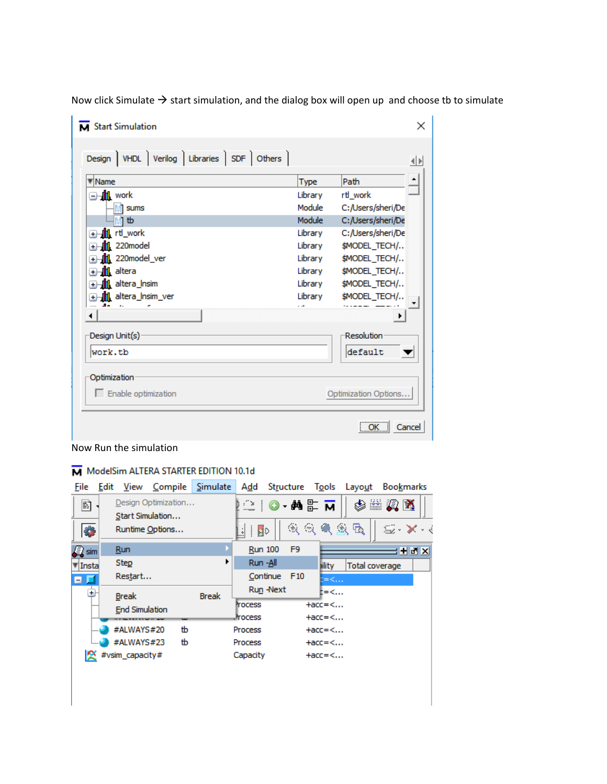| Design   VHDL   Verilog   Libraries   SDF   Others |         | $\left\langle \!\!{\,}^{\mathop{}\limits_{}}_{\mathop{}\limits^{}}\right\rangle \!{\,}^{\mathop{}\limits_{}}_{\mathop{}\limits^{}}\right\rangle$ |
|----------------------------------------------------|---------|--------------------------------------------------------------------------------------------------------------------------------------------------|
| <b>₹</b> Name                                      | Type    | Path                                                                                                                                             |
| and work                                           | Library | rtl work                                                                                                                                         |
| <b>M</b> sums                                      | Module  | C:/Users/sheri/De                                                                                                                                |
| Mì tb                                              | Module  | C:/Users/sheri/De                                                                                                                                |
| <b>a</b> Hill rtl_work                             | Library | C:/Users/sheri/De                                                                                                                                |
| 220model<br>$\overline{\textbf{t}}$                | Library | \$MODEL_TECH/                                                                                                                                    |
| Mil 220model_ver<br>$+$                            | Library | \$MODEL_TECH/                                                                                                                                    |
| <b>.III</b> altera<br>$\overline{+}$               | Library | <b>\$MODEL TECH/</b>                                                                                                                             |
| <b>1</b> altera Insim<br>$+$                       | Library | \$MODEL_TECH/                                                                                                                                    |
| <b>1</b> altera Insim ver<br>$+$                   | Library | \$MODEL TECH/                                                                                                                                    |
| ◀                                                  | a ar    | ▸                                                                                                                                                |
| Design Unit(s)                                     |         | Resolution                                                                                                                                       |
| work.tb                                            |         | default                                                                                                                                          |
| Optimization                                       |         |                                                                                                                                                  |
| $\Box$ Enable optimization                         |         | Optimization Options                                                                                                                             |

Now click Simulate  $\rightarrow$  start simulation, and the dialog box will open up and choose tb to simulate

## Now Run the simulation

## M ModelSim ALTERA STARTER EDITION 10.1d

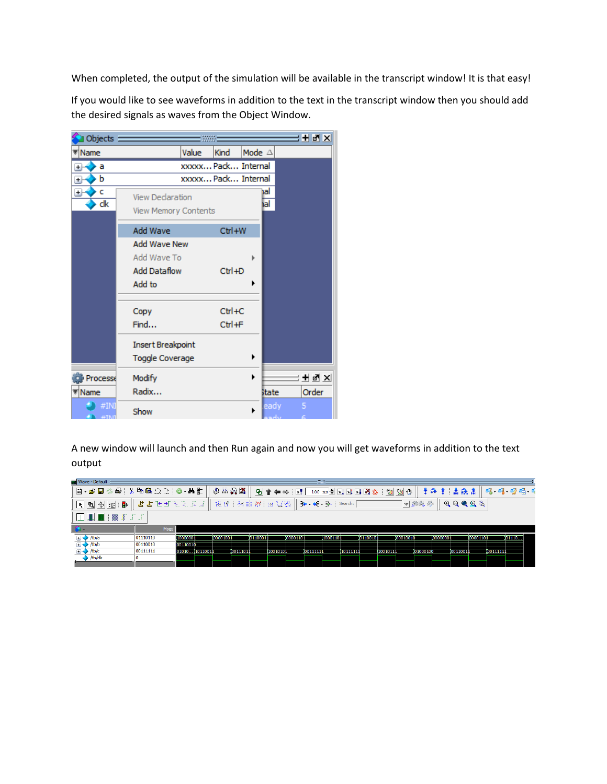When completed, the output of the simulation will be available in the transcript window! It is that easy!

If you would like to see waveforms in addition to the text in the transcript window then you should add the desired signals as waves from the Object Window.



A new window will launch and then Run again and now you will get waveforms in addition to the text output

| Wave - Default                                                                      |                                                               |                |           |           |           |          |          | <b>COMP</b> |           |           |           |             |           |           |           |                                                                                                                                                                                                                                                                                                                                                             |           |           |       |
|-------------------------------------------------------------------------------------|---------------------------------------------------------------|----------------|-----------|-----------|-----------|----------|----------|-------------|-----------|-----------|-----------|-------------|-----------|-----------|-----------|-------------------------------------------------------------------------------------------------------------------------------------------------------------------------------------------------------------------------------------------------------------------------------------------------------------------------------------------------------------|-----------|-----------|-------|
| ,B-GB%& XB&QQ{ 0·4L  0#QK   <u>9  10++ BF 100m+ BBB%\$ ™N</u> O  †&† L&L  6-6-6*6-6 |                                                               |                |           |           |           |          |          |             |           |           |           |             |           |           |           |                                                                                                                                                                                                                                                                                                                                                             |           |           |       |
|                                                                                     | よよよユデゴエミ   ほふ   24    W    14   15   7    3← → 4← 3→   seach: |                |           |           |           |          |          |             |           |           |           |             |           | ▼静義彦      |           | $\begin{picture}(180,10) \put(0,0){\makebox(0,0){$a$}} \put(15,0){\makebox(0,0){$b$}} \put(15,0){\makebox(0,0){$b$}} \put(15,0){\makebox(0,0){$b$}} \put(15,0){\makebox(0,0){$b$}} \put(15,0){\makebox(0,0){$b$}} \put(15,0){\makebox(0,0){$b$}} \put(15,0){\makebox(0,0){$b$}} \put(15,0){\makebox(0,0){$b$}} \put(15,0){\makebox(0,0){$b$}} \put(15,0){\$ |           |           |       |
| ▐▁▐▌█▏▓▐▏▞▗▏                                                                        |                                                               |                |           |           |           |          |          |             |           |           |           |             |           |           |           |                                                                                                                                                                                                                                                                                                                                                             |           |           |       |
|                                                                                     |                                                               |                |           |           |           |          |          |             |           |           |           |             |           |           |           |                                                                                                                                                                                                                                                                                                                                                             |           |           |       |
| - €a +                                                                              | Msgs                                                          |                |           |           |           |          |          |             |           |           |           |             |           |           |           |                                                                                                                                                                                                                                                                                                                                                             |           |           |       |
|                                                                                     | 01110110                                                      | 10000001       | 100001001 |           | 101100011 |          | 00001101 |             | 110001101 |           | 101100101 |             | 100010010 |           | 100000001 |                                                                                                                                                                                                                                                                                                                                                             | 100001101 |           | 01110 |
| $\mathbb{E}$ $\leftrightarrow$ /b/a<br>$\Rightarrow$ /b/b                           | 00110010                                                      | 00110010       |           |           |           |          |          |             |           |           |           |             |           |           |           |                                                                                                                                                                                                                                                                                                                                                             |           |           |       |
| $\mathbb{E}$ $\rightarrow$ /tb/c                                                    | 00111111                                                      | 01010110110011 |           | 100111011 |           | 10010101 |          | 00111111    |           | I10111111 |           | (100 10 11) |           | 101000100 |           | 100110011                                                                                                                                                                                                                                                                                                                                                   |           | 100111111 |       |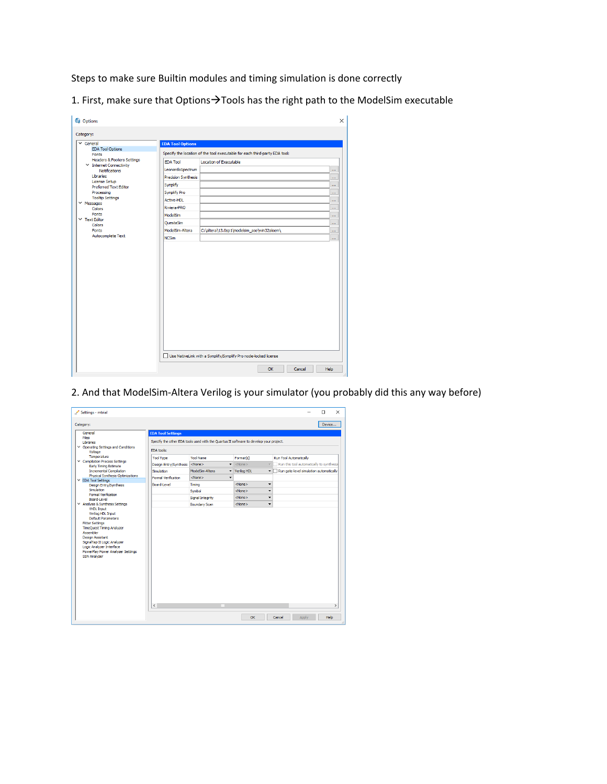Steps to make sure Builtin modules and timing simulation is done correctly

1. First, make sure that Options $\rightarrow$ Tools has the right path to the ModelSim executable

| Category:                                      |                            |                                                                            |      |
|------------------------------------------------|----------------------------|----------------------------------------------------------------------------|------|
| $\vee$ General                                 | <b>EDA Tool Options</b>    |                                                                            |      |
| <b>EDA Tool Options</b>                        |                            | Specify the location of the tool executable for each third-party EDA tool: |      |
| Fonts<br><b>Headers &amp; Footers Settings</b> |                            |                                                                            |      |
| $\times$ Internet Connectivity                 | <b>EDA Tool</b>            | Location of Executable                                                     |      |
| <b>Notifications</b>                           | LeonardoSpectrum           |                                                                            | i.   |
| Libraries<br>License Setup                     | <b>Precision Synthesis</b> |                                                                            | ш    |
| <b>Preferred Text Editor</b>                   | Synplify                   |                                                                            | m.   |
| Processing                                     | <b>Synplify Pro</b>        |                                                                            | ш    |
| <b>Tooltip Settings</b><br>$\times$ Messages   | Active-HDL                 |                                                                            | m.   |
| Colors                                         | Riviera-PRO                |                                                                            | ш    |
| Fonts                                          | ModelSim                   |                                                                            | m    |
| $\times$ Text Editor<br>Colors                 | OuestaSim                  |                                                                            | m.   |
| Fonts                                          | ModelSim-Altera            | C:\altera\13.0sp1\modelsim_ase\win32aloem\                                 | ш    |
| Autocomplete Text                              | <b>NCSim</b>               |                                                                            | in a |
|                                                |                            |                                                                            |      |
|                                                |                            | Use NativeLink with a Synplify/Synplify Pro node-locked license            |      |

2. And that ModelSim-Altera Verilog is your simulator (you probably did this any way before)

| Settings - mtrial<br>Category:                                                                                                                                                                                                                                                                          |                                                                                        |                                                       |                                 | п<br>$\times$<br>Device                                              |  |  |  |  |  |  |
|---------------------------------------------------------------------------------------------------------------------------------------------------------------------------------------------------------------------------------------------------------------------------------------------------------|----------------------------------------------------------------------------------------|-------------------------------------------------------|---------------------------------|----------------------------------------------------------------------|--|--|--|--|--|--|
| General                                                                                                                                                                                                                                                                                                 | <b>EDA Tool Settings</b>                                                               |                                                       |                                 |                                                                      |  |  |  |  |  |  |
| Files<br>Libraries                                                                                                                                                                                                                                                                                      | Specify the other EDA tools used with the Quartus II software to develop your project. |                                                       |                                 |                                                                      |  |  |  |  |  |  |
| ▽ Operating Settings and Conditions                                                                                                                                                                                                                                                                     | <b>FDA tools:</b>                                                                      |                                                       |                                 |                                                                      |  |  |  |  |  |  |
| Voltage<br>Temperature                                                                                                                                                                                                                                                                                  |                                                                                        |                                                       |                                 |                                                                      |  |  |  |  |  |  |
| Compilation Process Settings                                                                                                                                                                                                                                                                            | <b>Tool Type</b>                                                                       | <b>Tool Name</b>                                      | Format(s)                       | Run Tool Automatically                                               |  |  |  |  |  |  |
| <b>Early Timing Estimate</b>                                                                                                                                                                                                                                                                            | Design Entry/Synthesis                                                                 | $\overline{\phantom{a}}$<br>$<$ None $>$              | <none></none>                   | $\overline{\mathbf{v}}$<br>Run this tool automatically to synthesize |  |  |  |  |  |  |
| <b>Incremental Compilation</b><br>Physical Synthesis Optimizations                                                                                                                                                                                                                                      | Simulation                                                                             | ModelSim-Altera<br>$\overline{\phantom{a}}$           | Verilog HDL                     | Run gate-level simulation automatically                              |  |  |  |  |  |  |
| ▽ EDA Tool Settings                                                                                                                                                                                                                                                                                     | <b>Formal Verification</b>                                                             | <none><br/><math>\overline{\phantom{a}}</math></none> |                                 |                                                                      |  |  |  |  |  |  |
| Design Entry/Synthesis<br>Simulation                                                                                                                                                                                                                                                                    | Board-Level                                                                            | Timina                                                | <none></none>                   | $\overline{\phantom{a}}$                                             |  |  |  |  |  |  |
| <b>Formal Verification</b>                                                                                                                                                                                                                                                                              |                                                                                        | Symbol                                                | <none></none>                   | $\overline{\phantom{a}}$                                             |  |  |  |  |  |  |
| Board-Level<br>▽ Analysis & Synthesis Settings                                                                                                                                                                                                                                                          |                                                                                        | Signal Integrity<br><b>Boundary Scan</b>              | <none><br/><none></none></none> | ۰<br>$\overline{\phantom{0}}$                                        |  |  |  |  |  |  |
| <b>VHDL Input</b><br>Verilog HDL Input<br><b>Default Parameters</b><br><b>Fitter Settings</b><br><b>TimeOuest Timing Analyzer</b><br><b>Assembler</b><br><b>Design Assistant</b><br>SignalTap II Logic Analyzer<br>Logic Analyzer Interface<br>PowerPlay Power Analyzer Settings<br><b>SSN Analyzer</b> |                                                                                        |                                                       |                                 |                                                                      |  |  |  |  |  |  |
|                                                                                                                                                                                                                                                                                                         | $\left\langle \right\rangle$                                                           |                                                       |                                 | $\rightarrow$                                                        |  |  |  |  |  |  |
|                                                                                                                                                                                                                                                                                                         |                                                                                        |                                                       | OK                              | Help<br>Apply<br>Cancel                                              |  |  |  |  |  |  |